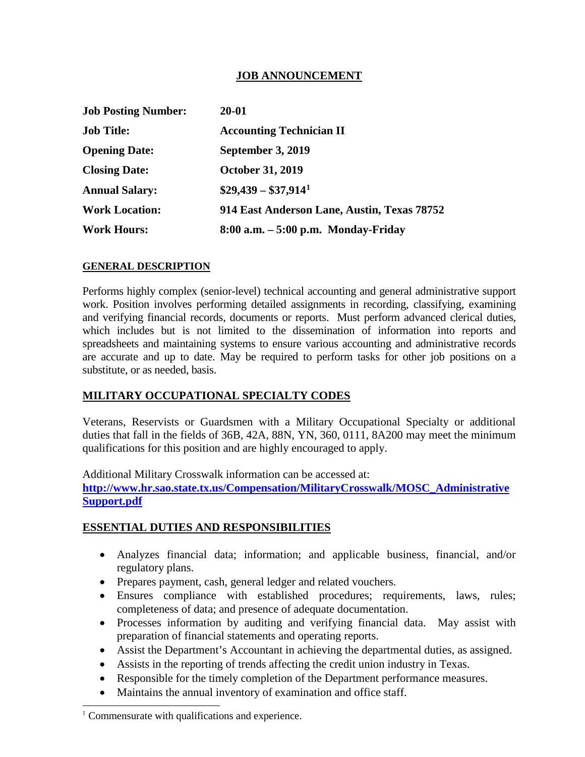## **JOB ANNOUNCEMENT**

| <b>Job Posting Number:</b> | 20-01                                       |
|----------------------------|---------------------------------------------|
| <b>Job Title:</b>          | <b>Accounting Technician II</b>             |
| <b>Opening Date:</b>       | September 3, 2019                           |
| <b>Closing Date:</b>       | <b>October 31, 2019</b>                     |
| <b>Annual Salary:</b>      | $$29,439 - $37,914^1$                       |
| <b>Work Location:</b>      | 914 East Anderson Lane, Austin, Texas 78752 |
| <b>Work Hours:</b>         | $8:00$ a.m. $-5:00$ p.m. Monday-Friday      |

### **GENERAL DESCRIPTION**

Performs highly complex (senior-level) technical accounting and general administrative support work. Position involves performing detailed assignments in recording, classifying, examining and verifying financial records, documents or reports. Must perform advanced clerical duties, which includes but is not limited to the dissemination of information into reports and spreadsheets and maintaining systems to ensure various accounting and administrative records are accurate and up to date. May be required to perform tasks for other job positions on a substitute, or as needed, basis.

### **MILITARY OCCUPATIONAL SPECIALTY CODES**

Veterans, Reservists or Guardsmen with a Military Occupational Specialty or additional duties that fall in the fields of 36B, 42A, 88N, YN, 360, 0111, 8A200 may meet the minimum qualifications for this position and are highly encouraged to apply.

Additional Military Crosswalk information can be accessed at: **[http://www.hr.sao.state.tx.us/Compensation/MilitaryCrosswalk/MOSC\\_Administrative](http://www.hr.sao.state.tx.us/Compensation/MilitaryCrosswalk/MOSC_AdministrativeSupport.pdf) [Support.pdf](http://www.hr.sao.state.tx.us/Compensation/MilitaryCrosswalk/MOSC_AdministrativeSupport.pdf)**

### **ESSENTIAL DUTIES AND RESPONSIBILITIES**

- Analyzes financial data; information; and applicable business, financial, and/or regulatory plans.
- Prepares payment, cash, general ledger and related vouchers.
- Ensures compliance with established procedures; requirements, laws, rules; completeness of data; and presence of adequate documentation.
- Processes information by auditing and verifying financial data. May assist with preparation of financial statements and operating reports.
- Assist the Department's Accountant in achieving the departmental duties, as assigned.
- Assists in the reporting of trends affecting the credit union industry in Texas.
- Responsible for the timely completion of the Department performance measures.
- Maintains the annual inventory of examination and office staff.

j

<span id="page-0-0"></span> $1$  Commensurate with qualifications and experience.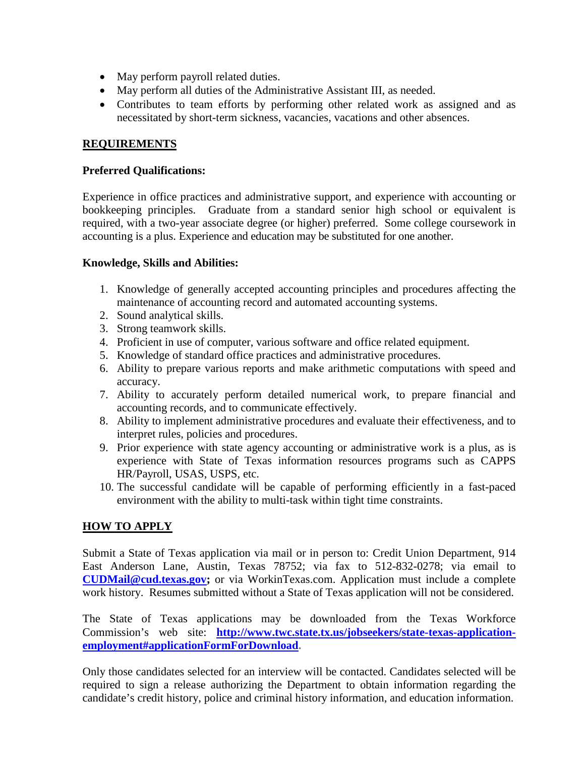- May perform payroll related duties.
- May perform all duties of the Administrative Assistant III, as needed.
- Contributes to team efforts by performing other related work as assigned and as necessitated by short-term sickness, vacancies, vacations and other absences.

## **REQUIREMENTS**

#### **Preferred Qualifications:**

Experience in office practices and administrative support, and experience with accounting or bookkeeping principles. Graduate from a standard senior high school or equivalent is required, with a two-year associate degree (or higher) preferred. Some college coursework in accounting is a plus. Experience and education may be substituted for one another.

### **Knowledge, Skills and Abilities:**

- 1. Knowledge of generally accepted accounting principles and procedures affecting the maintenance of accounting record and automated accounting systems.
- 2. Sound analytical skills.
- 3. Strong teamwork skills.
- 4. Proficient in use of computer, various software and office related equipment.
- 5. Knowledge of standard office practices and administrative procedures.
- 6. Ability to prepare various reports and make arithmetic computations with speed and accuracy.
- 7. Ability to accurately perform detailed numerical work, to prepare financial and accounting records, and to communicate effectively.
- 8. Ability to implement administrative procedures and evaluate their effectiveness, and to interpret rules, policies and procedures.
- 9. Prior experience with state agency accounting or administrative work is a plus, as is experience with State of Texas information resources programs such as CAPPS HR/Payroll, USAS, USPS, etc.
- 10. The successful candidate will be capable of performing efficiently in a fast-paced environment with the ability to multi-task within tight time constraints.

### **HOW TO APPLY**

Submit a State of Texas application via mail or in person to: Credit Union Department, 914 East Anderson Lane, Austin, Texas 78752; via fax to 512-832-0278; via email to **[CUDMail@cud.texas.gov;](mailto:CUDMail@cud.texas.gov)** or via WorkinTexas.com. Application must include a complete work history. Resumes submitted without a State of Texas application will not be considered.

The State of Texas applications may be downloaded from the Texas Workforce Commission's web site: **[http://www.twc.state.tx.us/jobseekers/state-texas-application](http://www.twc.state.tx.us/jobseekers/state-texas-application-employment#applicationFormForDownload)[employment#applicationFormForDownload.](http://www.twc.state.tx.us/jobseekers/state-texas-application-employment#applicationFormForDownload)**

Only those candidates selected for an interview will be contacted. Candidates selected will be required to sign a release authorizing the Department to obtain information regarding the candidate's credit history, police and criminal history information, and education information.